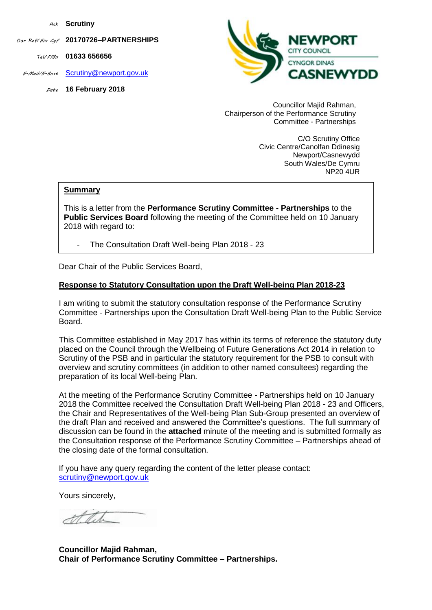*Ask*  **Scrutiny**

*for/Gofynnwch Our Ref/Ein Cyf* **20170726–PARTNERSHIPS**

*Tel/Ffôn* **01633 656656**

*E-Mail/E-Bost* [Scrutiny@newport.gov.uk](mailto:Scrutiny@newport.gov.uk)

*Date* **16 February 2018**



Councillor Majid Rahman, Chairperson of the Performance Scrutiny Committee - Partnerships

> C/O Scrutiny Office Civic Centre/Canolfan Ddinesig Newport/Casnewydd South Wales/De Cymru NP20 4UR

#### **Summary**

This is a letter from the **Performance Scrutiny Committee - Partnerships** to the **Public Services Board** following the meeting of the Committee held on 10 January 2018 with regard to:

The Consultation Draft Well-being Plan 2018 - 23

Dear Chair of the Public Services Board,

#### **Response to Statutory Consultation upon the Draft Well-being Plan 2018-23**

I am writing to submit the statutory consultation response of the Performance Scrutiny Committee - Partnerships upon the Consultation Draft Well-being Plan to the Public Service Board.

This Committee established in May 2017 has within its terms of reference the statutory duty placed on the Council through the Wellbeing of Future Generations Act 2014 in relation to Scrutiny of the PSB and in particular the statutory requirement for the PSB to consult with overview and scrutiny committees (in addition to other named consultees) regarding the preparation of its local Well-being Plan.

At the meeting of the Performance Scrutiny Committee - Partnerships held on 10 January 2018 the Committee received the Consultation Draft Well-being Plan 2018 - 23 and Officers, the Chair and Representatives of the Well-being Plan Sub-Group presented an overview of the draft Plan and received and answered the Committee's questions. The full summary of discussion can be found in the **attached** minute of the meeting and is submitted formally as the Consultation response of the Performance Scrutiny Committee – Partnerships ahead of the closing date of the formal consultation.

If you have any query regarding the content of the letter please contact: [scrutiny@newport.gov.uk](mailto:scrutiny@newport.gov.uk)

Yours sincerely,

**Councillor Majid Rahman, Chair of Performance Scrutiny Committee – Partnerships.**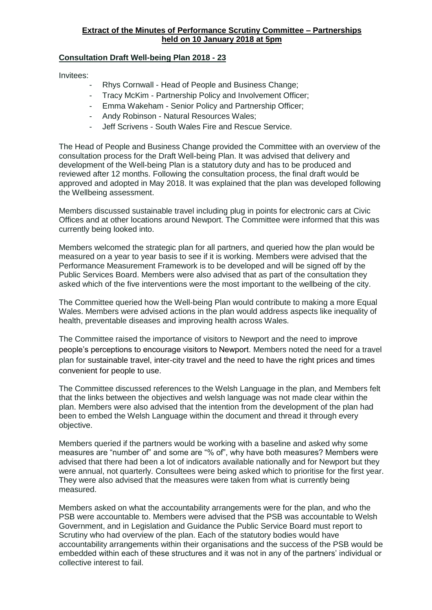# **Extract of the Minutes of Performance Scrutiny Committee – Partnerships held on 10 January 2018 at 5pm**

## **Consultation Draft Well-being Plan 2018 - 23**

Invitees:

- Rhys Cornwall Head of People and Business Change;
- Tracy McKim Partnership Policy and Involvement Officer;
- Emma Wakeham Senior Policy and Partnership Officer;
- Andy Robinson Natural Resources Wales;
- Jeff Scrivens South Wales Fire and Rescue Service.

The Head of People and Business Change provided the Committee with an overview of the consultation process for the Draft Well-being Plan. It was advised that delivery and development of the Well-being Plan is a statutory duty and has to be produced and reviewed after 12 months. Following the consultation process, the final draft would be approved and adopted in May 2018. It was explained that the plan was developed following the Wellbeing assessment.

Members discussed sustainable travel including plug in points for electronic cars at Civic Offices and at other locations around Newport. The Committee were informed that this was currently being looked into.

Members welcomed the strategic plan for all partners, and queried how the plan would be measured on a year to year basis to see if it is working. Members were advised that the Performance Measurement Framework is to be developed and will be signed off by the Public Services Board. Members were also advised that as part of the consultation they asked which of the five interventions were the most important to the wellbeing of the city.

The Committee queried how the Well-being Plan would contribute to making a more Equal Wales. Members were advised actions in the plan would address aspects like inequality of health, preventable diseases and improving health across Wales.

The Committee raised the importance of visitors to Newport and the need to improve people's perceptions to encourage visitors to Newport. Members noted the need for a travel plan for sustainable travel, inter-city travel and the need to have the right prices and times convenient for people to use.

The Committee discussed references to the Welsh Language in the plan, and Members felt that the links between the objectives and welsh language was not made clear within the plan. Members were also advised that the intention from the development of the plan had been to embed the Welsh Language within the document and thread it through every objective.

Members queried if the partners would be working with a baseline and asked why some measures are "number of" and some are "% of", why have both measures? Members were advised that there had been a lot of indicators available nationally and for Newport but they were annual, not quarterly. Consultees were being asked which to prioritise for the first year. They were also advised that the measures were taken from what is currently being measured.

Members asked on what the accountability arrangements were for the plan, and who the PSB were accountable to. Members were advised that the PSB was accountable to Welsh Government, and in Legislation and Guidance the Public Service Board must report to Scrutiny who had overview of the plan. Each of the statutory bodies would have accountability arrangements within their organisations and the success of the PSB would be embedded within each of these structures and it was not in any of the partners' individual or collective interest to fail.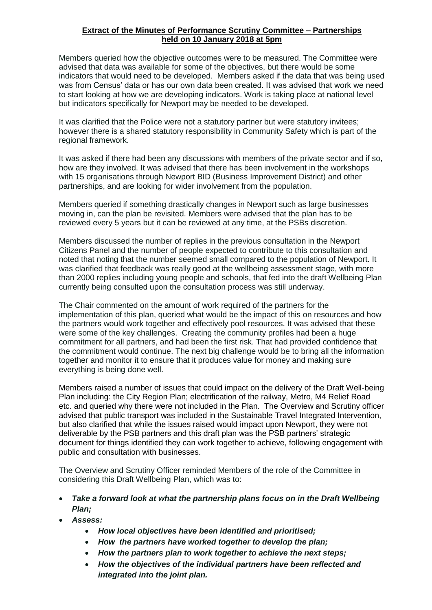# **Extract of the Minutes of Performance Scrutiny Committee – Partnerships held on 10 January 2018 at 5pm**

Members queried how the objective outcomes were to be measured. The Committee were advised that data was available for some of the objectives, but there would be some indicators that would need to be developed. Members asked if the data that was being used was from Census' data or has our own data been created. It was advised that work we need to start looking at how we are developing indicators. Work is taking place at national level but indicators specifically for Newport may be needed to be developed.

It was clarified that the Police were not a statutory partner but were statutory invitees; however there is a shared statutory responsibility in Community Safety which is part of the regional framework.

It was asked if there had been any discussions with members of the private sector and if so, how are they involved. It was advised that there has been involvement in the workshops with 15 organisations through Newport BID (Business Improvement District) and other partnerships, and are looking for wider involvement from the population.

Members queried if something drastically changes in Newport such as large businesses moving in, can the plan be revisited. Members were advised that the plan has to be reviewed every 5 years but it can be reviewed at any time, at the PSBs discretion.

Members discussed the number of replies in the previous consultation in the Newport Citizens Panel and the number of people expected to contribute to this consultation and noted that noting that the number seemed small compared to the population of Newport. It was clarified that feedback was really good at the wellbeing assessment stage, with more than 2000 replies including young people and schools, that fed into the draft Wellbeing Plan currently being consulted upon the consultation process was still underway.

The Chair commented on the amount of work required of the partners for the implementation of this plan, queried what would be the impact of this on resources and how the partners would work together and effectively pool resources. It was advised that these were some of the key challenges. Creating the community profiles had been a huge commitment for all partners, and had been the first risk. That had provided confidence that the commitment would continue. The next big challenge would be to bring all the information together and monitor it to ensure that it produces value for money and making sure everything is being done well.

Members raised a number of issues that could impact on the delivery of the Draft Well-being Plan including: the City Region Plan; electrification of the railway, Metro, M4 Relief Road etc. and queried why there were not included in the Plan. The Overview and Scrutiny officer advised that public transport was included in the Sustainable Travel Integrated Intervention, but also clarified that while the issues raised would impact upon Newport, they were not deliverable by the PSB partners and this draft plan was the PSB partners' strategic document for things identified they can work together to achieve, following engagement with public and consultation with businesses.

The Overview and Scrutiny Officer reminded Members of the role of the Committee in considering this Draft Wellbeing Plan, which was to:

- *Take a forward look at what the partnership plans focus on in the Draft Wellbeing Plan;*
- *Assess:*
	- *How local objectives have been identified and prioritised;*
	- *How the partners have worked together to develop the plan;*
	- *How the partners plan to work together to achieve the next steps;*
	- *How the objectives of the individual partners have been reflected and integrated into the joint plan.*